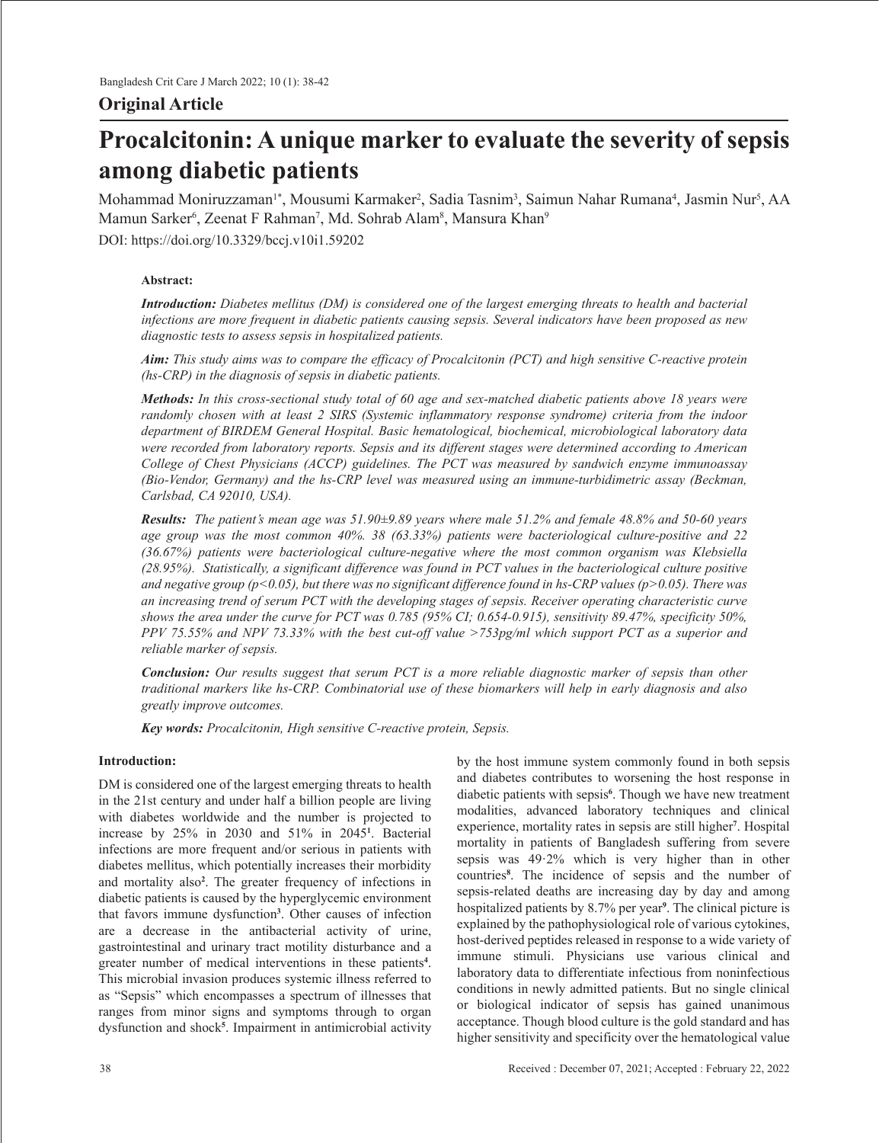# **Original Article**

# **Procalcitonin: A unique marker to evaluate the severity of sepsis among diabetic patients**

Mohammad Moniruzzaman'\*, Mousumi Karmaker<sup>2</sup>, Sadia Tasnim<sup>3</sup>, Saimun Nahar Rumana<sup>4</sup>, Jasmin Nur<sup>5</sup>, AA Mamun Sarker<sup>6</sup>, Zeenat F Rahman<sup>7</sup>, Md. Sohrab Alam<sup>8</sup>, Mansura Khan<sup>9</sup> DOI: https://doi.org/10.3329/bccj.v10i1.59202

# **Abstract:**

*Introduction: Diabetes mellitus (DM) is considered one of the largest emerging threats to health and bacterial infections are more frequent in diabetic patients causing sepsis. Several indicators have been proposed as new diagnostic tests to assess sepsis in hospitalized patients.* 

*Aim: This study aims was to compare the efficacy of Procalcitonin (PCT) and high sensitive C-reactive protein (hs-CRP) in the diagnosis of sepsis in diabetic patients.*

Methods: In this cross-sectional study total of 60 age and sex-matched diabetic patients above 18 years were *randomly chosen with at least 2 SIRS (Systemic inflammatory response syndrome) criteria from the indoor department of BIRDEM General Hospital. Basic hematological, biochemical, microbiological laboratory data were recorded from laboratory reports. Sepsis and its different stages were determined according to American College of Chest Physicians (ACCP) guidelines. The PCT was measured by sandwich enzyme immunoassay (Bio-Vendor, Germany) and the hs-CRP level was measured using an immune-turbidimetric assay (Beckman, Carlsbad, CA 92010, USA).*

*Results: The patient's mean age was 51.90±9.89 years where male 51.2% and female 48.8% and 50-60 years age group was the most common 40%. 38 (63.33%) patients were bacteriological culture-positive and 22 (36.67%) patients were bacteriological culture-negative where the most common organism was Klebsiella (28.95%). Statistically, a significant difference was found in PCT values in the bacteriological culture positive and negative group (p<0.05), but there was no significant difference found in hs-CRP values (p>0.05). There was an increasing trend of serum PCT with the developing stages of sepsis. Receiver operating characteristic curve shows the area under the curve for PCT was 0.785 (95% CI; 0.654-0.915), sensitivity 89.47%, specificity 50%, PPV 75.55% and NPV 73.33% with the best cut-off value >753pg/ml which support PCT as a superior and reliable marker of sepsis.* 

*Conclusion: Our results suggest that serum PCT is a more reliable diagnostic marker of sepsis than other traditional markers like hs-CRP. Combinatorial use of these biomarkers will help in early diagnosis and also greatly improve outcomes.*

*Key words: Procalcitonin, High sensitive C-reactive protein, Sepsis.*

# **Introduction:**

DM is considered one of the largest emerging threats to health in the 21st century and under half a billion people are living with diabetes worldwide and the number is projected to increase by 25% in 2030 and 51% in 2045**<sup>1</sup>** . Bacterial infections are more frequent and/or serious in patients with diabetes mellitus, which potentially increases their morbidity and mortality also**<sup>2</sup>** . The greater frequency of infections in diabetic patients is caused by the hyperglycemic environment that favors immune dysfunction**<sup>3</sup>** . Other causes of infection are a decrease in the antibacterial activity of urine, gastrointestinal and urinary tract motility disturbance and a greater number of medical interventions in these patients**<sup>4</sup>** . This microbial invasion produces systemic illness referred to as "Sepsis" which encompasses a spectrum of illnesses that ranges from minor signs and symptoms through to organ dysfunction and shock**<sup>5</sup>** . Impairment in antimicrobial activity

by the host immune system commonly found in both sepsis and diabetes contributes to worsening the host response in diabetic patients with sepsis**<sup>6</sup>** . Though we have new treatment modalities, advanced laboratory techniques and clinical experience, mortality rates in sepsis are still higher**<sup>7</sup>** . Hospital mortality in patients of Bangladesh suffering from severe sepsis was 49·2% which is very higher than in other countries**<sup>8</sup>** . The incidence of sepsis and the number of sepsis-related deaths are increasing day by day and among hospitalized patients by 8.7% per year**<sup>9</sup>** . The clinical picture is explained by the pathophysiological role of various cytokines, host-derived peptides released in response to a wide variety of immune stimuli. Physicians use various clinical and laboratory data to differentiate infectious from noninfectious conditions in newly admitted patients. But no single clinical or biological indicator of sepsis has gained unanimous acceptance. Though blood culture is the gold standard and has higher sensitivity and specificity over the hematological value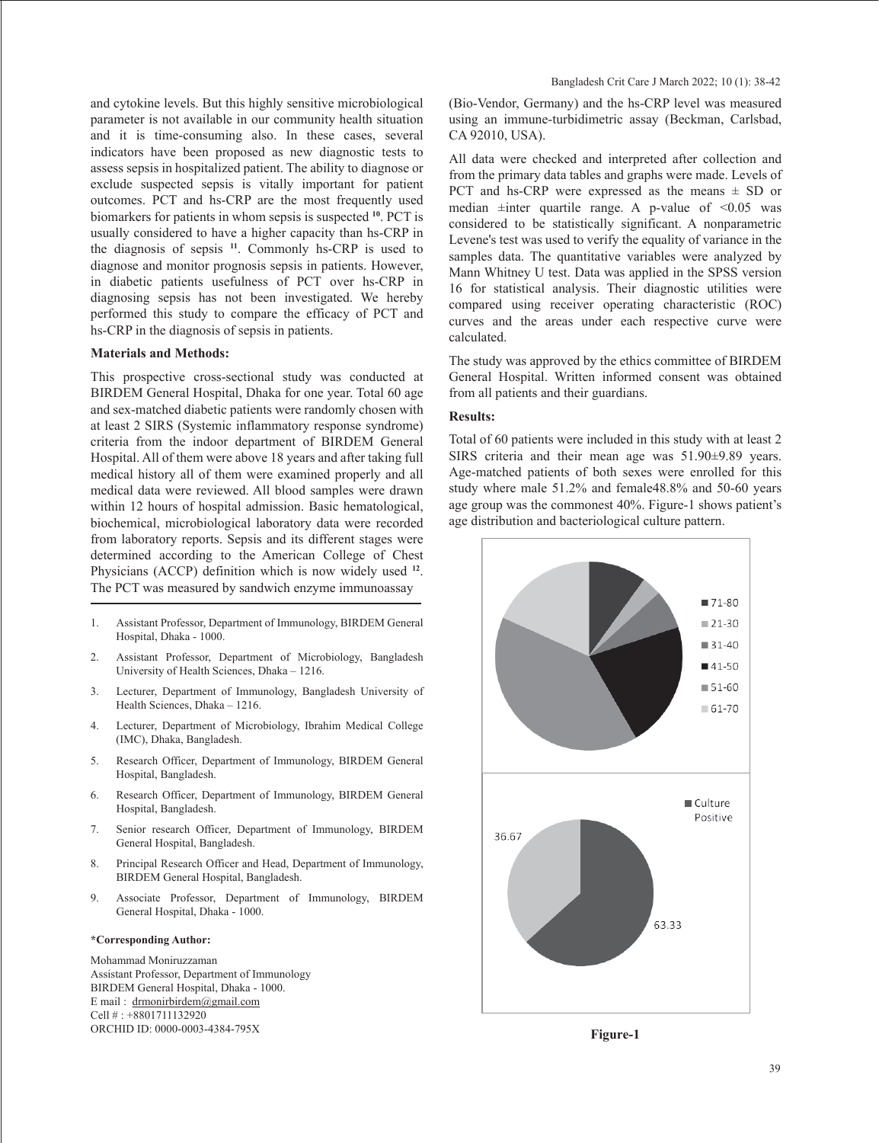and cytokine levels. But this highly sensitive microbiological parameter is not available in our community health situation and it is time-consuming also. In these cases, several indicators have been proposed as new diagnostic tests to assess sepsis in hospitalized patient. The ability to diagnose or exclude suspected sepsis is vitally important for patient outcomes. PCT and hs-CRP are the most frequently used biomarkers for patients in whom sepsis is suspected **<sup>10</sup>**. PCT is usually considered to have a higher capacity than hs-CRP in the diagnosis of sepsis **<sup>11</sup>**. Commonly hs-CRP is used to diagnose and monitor prognosis sepsis in patients. However, in diabetic patients usefulness of PCT over hs-CRP in diagnosing sepsis has not been investigated. We hereby performed this study to compare the efficacy of PCT and hs-CRP in the diagnosis of sepsis in patients.

#### **Materials and Methods:**

This prospective cross-sectional study was conducted at BIRDEM General Hospital, Dhaka for one year. Total 60 age and sex-matched diabetic patients were randomly chosen with at least 2 SIRS (Systemic inflammatory response syndrome) criteria from the indoor department of BIRDEM General Hospital. All of them were above 18 years and after taking full medical history all of them were examined properly and all medical data were reviewed. All blood samples were drawn within 12 hours of hospital admission. Basic hematological, biochemical, microbiological laboratory data were recorded from laboratory reports. Sepsis and its different stages were determined according to the American College of Chest Physicians (ACCP) definition which is now widely used **<sup>12</sup>**. The PCT was measured by sandwich enzyme immunoassay

- 1. Assistant Professor, Department of Immunology, BIRDEM General Hospital, Dhaka - 1000.
- 2. Assistant Professor, Department of Microbiology, Bangladesh University of Health Sciences, Dhaka – 1216.
- 3. Lecturer, Department of Immunology, Bangladesh University of Health Sciences, Dhaka – 1216.
- 4. Lecturer, Department of Microbiology, Ibrahim Medical College (IMC), Dhaka, Bangladesh.
- 5. Research Officer, Department of Immunology, BIRDEM General Hospital, Bangladesh.
- 6. Research Officer, Department of Immunology, BIRDEM General Hospital, Bangladesh.
- 7. Senior research Officer, Department of Immunology, BIRDEM General Hospital, Bangladesh.
- 8. Principal Research Officer and Head, Department of Immunology, BIRDEM General Hospital, Bangladesh.
- 9. Associate Professor, Department of Immunology, BIRDEM General Hospital, Dhaka - 1000.

#### **\*Corresponding Author:**

Mohammad Moniruzzaman Assistant Professor, Department of Immunology BIRDEM General Hospital, Dhaka - 1000. E mail : drmonirbirdem@gmail.com Cell # : +8801711132920 ORCHID ID: 0000-0003-4384-795X

(Bio-Vendor, Germany) and the hs-CRP level was measured using an immune-turbidimetric assay (Beckman, Carlsbad, CA 92010, USA).

All data were checked and interpreted after collection and from the primary data tables and graphs were made. Levels of PCT and hs-CRP were expressed as the means  $\pm$  SD or median  $\pm$ inter quartile range. A p-value of <0.05 was considered to be statistically significant. A nonparametric Levene's test was used to verify the equality of variance in the samples data. The quantitative variables were analyzed by Mann Whitney U test. Data was applied in the SPSS version 16 for statistical analysis. Their diagnostic utilities were compared using receiver operating characteristic (ROC) curves and the areas under each respective curve were calculated.

The study was approved by the ethics committee of BIRDEM General Hospital. Written informed consent was obtained from all patients and their guardians.

### **Results:**

Total of 60 patients were included in this study with at least 2 SIRS criteria and their mean age was 51.90±9.89 years. Age-matched patients of both sexes were enrolled for this study where male 51.2% and female48.8% and 50-60 years age group was the commonest 40%. Figure-1 shows patient's age distribution and bacteriological culture pattern.



**Figure-1**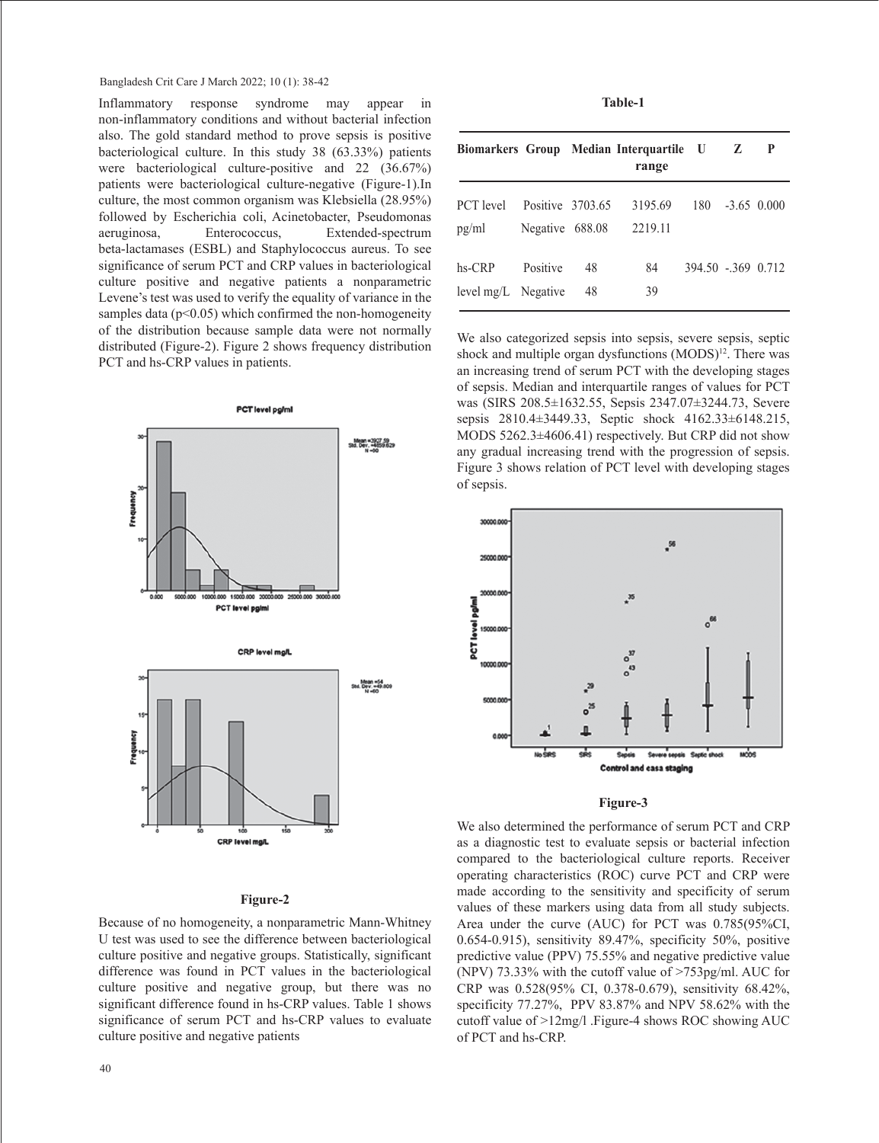#### Bangladesh Crit Care J March 2022; 10 (1): 38-42

Inflammatory response syndrome may appear in non-inflammatory conditions and without bacterial infection also. The gold standard method to prove sepsis is positive bacteriological culture. In this study 38 (63.33%) patients were bacteriological culture-positive and 22 (36.67%) patients were bacteriological culture-negative (Figure-1).In culture, the most common organism was Klebsiella (28.95%) followed by Escherichia coli, Acinetobacter, Pseudomonas aeruginosa, Enterococcus, Extended-spectrum beta-lactamases (ESBL) and Staphylococcus aureus. To see significance of serum PCT and CRP values in bacteriological culture positive and negative patients a nonparametric Levene's test was used to verify the equality of variance in the samples data ( $p<0.05$ ) which confirmed the non-homogeneity of the distribution because sample data were not normally distributed (Figure-2). Figure 2 shows frequency distribution PCT and hs-CRP values in patients.



#### **Figure-2**

Because of no homogeneity, a nonparametric Mann-Whitney U test was used to see the difference between bacteriological culture positive and negative groups. Statistically, significant difference was found in PCT values in the bacteriological culture positive and negative group, but there was no significant difference found in hs-CRP values. Table 1 shows significance of serum PCT and hs-CRP values to evaluate culture positive and negative patients

|                                 |                                     |          | Biomarkers Group Median Interquartile U<br>range |                    | z | P             |
|---------------------------------|-------------------------------------|----------|--------------------------------------------------|--------------------|---|---------------|
| PCT level<br>pg/ml              | Positive 3703.65<br>Negative 688.08 |          | 3195.69<br>2219.11                               | 180                |   | $-3.65$ 0.000 |
| $hs-CRP$<br>level mg/L Negative | Positive                            | 48<br>48 | 84<br>39                                         | 394.50 - 369 0.712 |   |               |

ľ

We also categorized sepsis into sepsis, severe sepsis, septic shock and multiple organ dysfunctions (MODS) 12. There was an increasing trend of serum PCT with the developing stages of sepsis. Median and interquartile ranges of values for PCT was (SIRS 208.5±1632.55, Sepsis 2347.07±3244.73, Severe sepsis 2810.4±3449.33, Septic shock 4162.33±6148.215, MODS 5262.3±4606.41) respectively. But CRP did not show any gradual increasing trend with the progression of sepsis. Figure 3 shows relation of PCT level with developing stages of sepsis.



#### **Figure-3**

We also determined the performance of serum PCT and CRP as a diagnostic test to evaluate sepsis or bacterial infection compared to the bacteriological culture reports. Receiver operating characteristics (ROC) curve PCT and CRP were made according to the sensitivity and specificity of serum values of these markers using data from all study subjects. Area under the curve (AUC) for PCT was 0.785(95%CI, 0.654-0.915), sensitivity 89.47%, specificity 50%, positive predictive value (PPV) 75.55% and negative predictive value (NPV) 73.33% with the cutoff value of >753pg/ml. AUC for CRP was 0.528(95% CI, 0.378-0.679), sensitivity 68.42%, specificity 77.27%, PPV 83.87% and NPV 58.62% with the cutoff value of >12mg/l .Figure-4 shows ROC showing AUC of PCT and hs-CRP.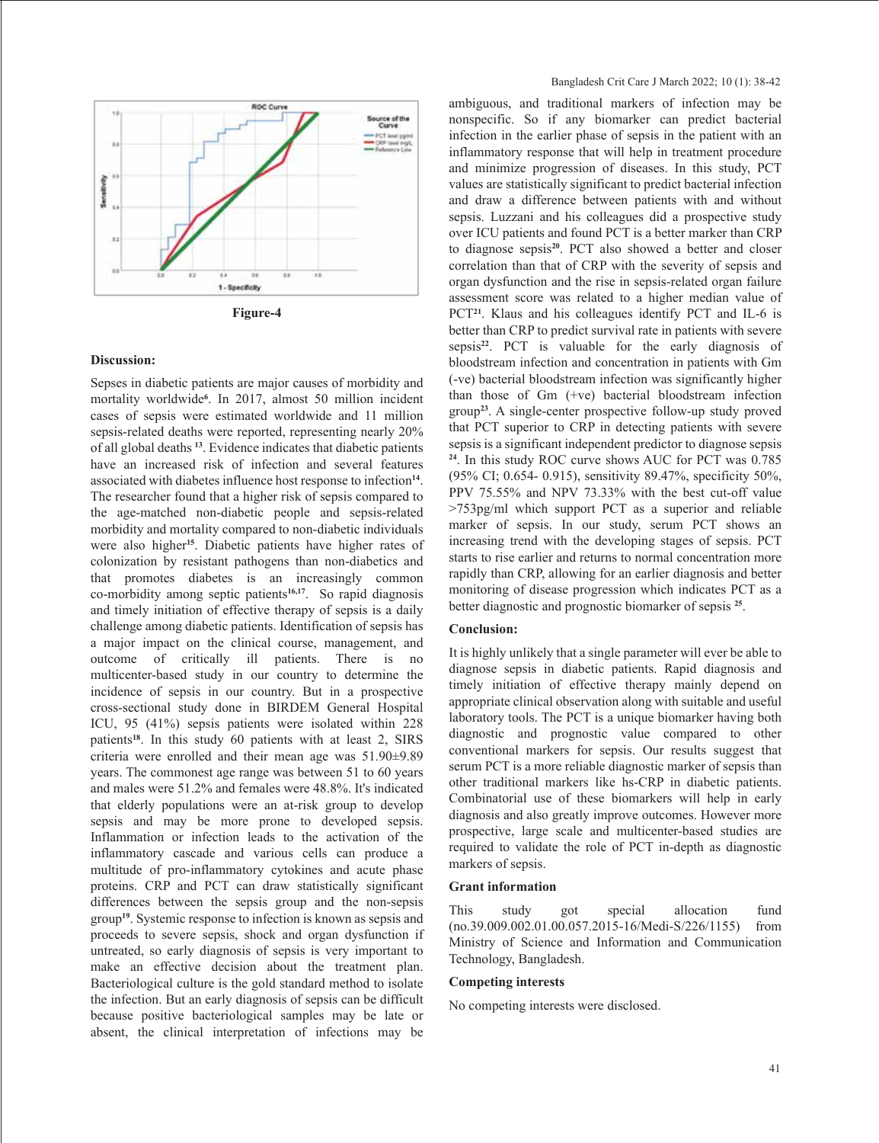

**Figure-4**

#### **Discussion:**

Sepses in diabetic patients are major causes of morbidity and mortality worldwide**<sup>6</sup>** . In 2017, almost 50 million incident cases of sepsis were estimated worldwide and 11 million sepsis-related deaths were reported, representing nearly 20% of all global deaths **<sup>13</sup>**. Evidence indicates that diabetic patients have an increased risk of infection and several features associated with diabetes influence host response to infection**<sup>14</sup>**. The researcher found that a higher risk of sepsis compared to the age-matched non-diabetic people and sepsis-related morbidity and mortality compared to non-diabetic individuals were also higher**<sup>15</sup>**. Diabetic patients have higher rates of colonization by resistant pathogens than non-diabetics and that promotes diabetes is an increasingly common co-morbidity among septic patients**16,17**. So rapid diagnosis and timely initiation of effective therapy of sepsis is a daily challenge among diabetic patients. Identification of sepsis has a major impact on the clinical course, management, and outcome of critically ill patients. There is no multicenter-based study in our country to determine the incidence of sepsis in our country. But in a prospective cross-sectional study done in BIRDEM General Hospital ICU, 95 (41%) sepsis patients were isolated within 228 patients**<sup>18</sup>**. In this study 60 patients with at least 2, SIRS criteria were enrolled and their mean age was 51.90±9.89 years. The commonest age range was between 51 to 60 years and males were 51.2% and females were 48.8%. It's indicated that elderly populations were an at-risk group to develop sepsis and may be more prone to developed sepsis. Inflammation or infection leads to the activation of the inflammatory cascade and various cells can produce a multitude of pro-inflammatory cytokines and acute phase proteins. CRP and PCT can draw statistically significant differences between the sepsis group and the non-sepsis group**<sup>19</sup>**. Systemic response to infection is known as sepsis and proceeds to severe sepsis, shock and organ dysfunction if untreated, so early diagnosis of sepsis is very important to make an effective decision about the treatment plan. Bacteriological culture is the gold standard method to isolate the infection. But an early diagnosis of sepsis can be difficult because positive bacteriological samples may be late or absent, the clinical interpretation of infections may be

ambiguous, and traditional markers of infection may be nonspecific. So if any biomarker can predict bacterial infection in the earlier phase of sepsis in the patient with an inflammatory response that will help in treatment procedure and minimize progression of diseases. In this study, PCT values are statistically significant to predict bacterial infection and draw a difference between patients with and without sepsis. Luzzani and his colleagues did a prospective study over ICU patients and found PCT is a better marker than CRP to diagnose sepsis**<sup>20</sup>**. PCT also showed a better and closer correlation than that of CRP with the severity of sepsis and organ dysfunction and the rise in sepsis-related organ failure assessment score was related to a higher median value of PCT<sup>21</sup>. Klaus and his colleagues identify PCT and IL-6 is better than CRP to predict survival rate in patients with severe sepsis**<sup>22</sup>**. PCT is valuable for the early diagnosis of bloodstream infection and concentration in patients with Gm (-ve) bacterial bloodstream infection was significantly higher than those of Gm (+ve) bacterial bloodstream infection group**<sup>23</sup>**. A single-center prospective follow-up study proved that PCT superior to CRP in detecting patients with severe sepsis is a significant independent predictor to diagnose sepsis **<sup>24</sup>**. In this study ROC curve shows AUC for PCT was 0.785 (95% CI; 0.654- 0.915), sensitivity 89.47%, specificity 50%, PPV 75.55% and NPV 73.33% with the best cut-off value >753pg/ml which support PCT as a superior and reliable marker of sepsis. In our study, serum PCT shows an increasing trend with the developing stages of sepsis. PCT starts to rise earlier and returns to normal concentration more rapidly than CRP, allowing for an earlier diagnosis and better monitoring of disease progression which indicates PCT as a better diagnostic and prognostic biomarker of sepsis **<sup>25</sup>**.

#### **Conclusion:**

It is highly unlikely that a single parameter will ever be able to diagnose sepsis in diabetic patients. Rapid diagnosis and timely initiation of effective therapy mainly depend on appropriate clinical observation along with suitable and useful laboratory tools. The PCT is a unique biomarker having both diagnostic and prognostic value compared to other conventional markers for sepsis. Our results suggest that serum PCT is a more reliable diagnostic marker of sepsis than other traditional markers like hs-CRP in diabetic patients. Combinatorial use of these biomarkers will help in early diagnosis and also greatly improve outcomes. However more prospective, large scale and multicenter-based studies are required to validate the role of PCT in-depth as diagnostic markers of sepsis.

#### **Grant information**

This study got special allocation fund (no.39.009.002.01.00.057.2015-16/Medi-S/226/1155) from Ministry of Science and Information and Communication Technology, Bangladesh.

#### **Competing interests**

No competing interests were disclosed.